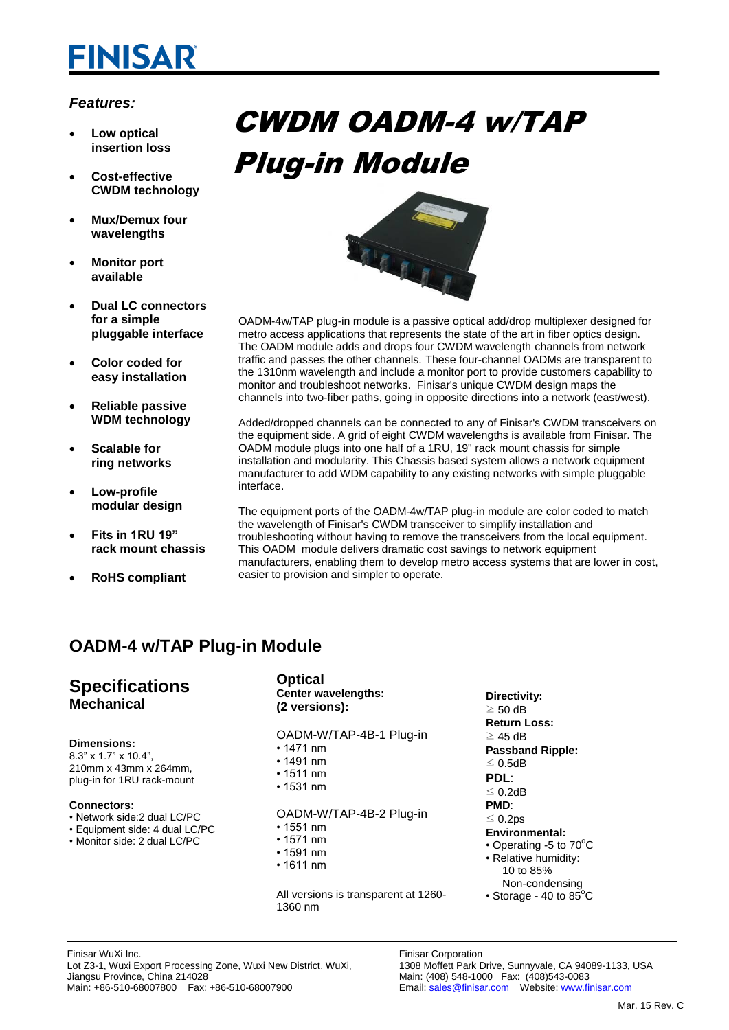# **FINISAR**

#### *Features:*

- **Low optical insertion loss**
- **Cost-effective CWDM technology**
- **Mux/Demux four wavelengths**
- **Monitor port available**
- **Dual LC connectors for a simple pluggable interface**
- **Color coded for easy installation**
- **Reliable passive WDM technology**
- **Scalable for ring networks**
- **Low-profile modular design**
- **Fits in 1RU 19" rack mount chassis**
- **RoHS compliant**





OADM-4w/TAP plug-in module is a passive optical add/drop multiplexer designed for metro access applications that represents the state of the art in fiber optics design. The OADM module adds and drops four CWDM wavelength channels from network traffic and passes the other channels. These four-channel OADMs are transparent to the 1310nm wavelength and include a monitor port to provide customers capability to monitor and troubleshoot networks. Finisar's unique CWDM design maps the channels into two-fiber paths, going in opposite directions into a network (east/west).

Added/dropped channels can be connected to any of Finisar's CWDM transceivers on the equipment side. A grid of eight CWDM wavelengths is available from Finisar. The OADM module plugs into one half of a 1RU, 19" rack mount chassis for simple installation and modularity. This Chassis based system allows a network equipment manufacturer to add WDM capability to any existing networks with simple pluggable interface.

The equipment ports of the OADM-4w/TAP plug-in module are color coded to match the wavelength of Finisar's CWDM transceiver to simplify installation and troubleshooting without having to remove the transceivers from the local equipment. This OADM module delivers dramatic cost savings to network equipment manufacturers, enabling them to develop metro access systems that are lower in cost, easier to provision and simpler to operate.

## **OADM-4 w/TAP Plug-in Module**

## **Specifications Mechanical**

#### **Dimensions:**

8.3" x 1.7" x 10.4", 210mm x 43mm x 264mm, plug-in for 1RU rack-mount

#### **Connectors:**

- Network side:2 dual LC/PC
- Equipment side: 4 dual LC/PC
- Monitor side: 2 dual LC/PC

#### **Optical Center wavelengths: (2 versions):**

OADM-W/TAP-4B-1 Plug-in

- 1471 nm
- 1491 nm • 1511 nm
- 1531 nm
- 

#### OADM-W/TAP-4B-2 Plug-in

- 1551 nm
- 1571 nm
- 1591 nm
- 1611 nm

All versions is transparent at 1260- 1360 nm

- **Directivity:**  $\geq 50$  dB **Return Loss:**  $≥$  45 dB **Passband Ripple:** ≤ 0.5dB **PDL**: ≤ 0.2dB **PMD**: ≤ 0.2ps **Environmental:** • Operating -5 to  $70^{\circ}$ C • Relative humidity: 10 to 85% Non-condensing
- Storage 40 to  $85^{\circ}$ C

Finisar Corporation 1308 Moffett Park Drive, Sunnyvale, CA 94089-1133, USA Main: (408) 548-1000 Fax: (408)543-0083 Email: sales@finisar.com Website: www.finisar.com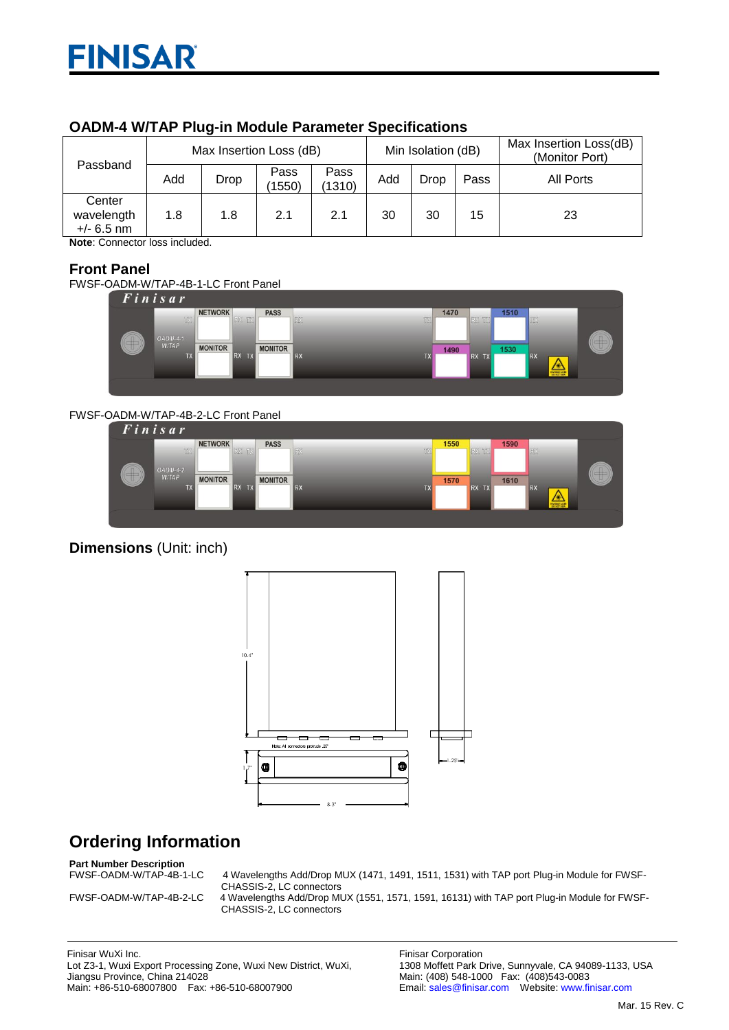| OADM-4 WITAP Plug-in Module Parameter Specifications |                         |      |                |                |                    |             |      |                                          |
|------------------------------------------------------|-------------------------|------|----------------|----------------|--------------------|-------------|------|------------------------------------------|
| Passband                                             | Max Insertion Loss (dB) |      |                |                | Min Isolation (dB) |             |      | Max Insertion Loss(dB)<br>(Monitor Port) |
|                                                      | Add                     | Drop | Pass<br>(1550) | Pass<br>(1310) | Add                | <b>Drop</b> | Pass | All Ports                                |
| Center<br>wavelength<br>$+/- 6.5$ nm                 | 1.8                     | 1.8  | 2.1            | 2.1            | 30                 | 30          | 15   | 23                                       |

### **OADM-4 W/TAP Plug-in Module Parameter Specifications**

**Note**: Connector loss included.

### **Front Panel**

FWSF-OADM-W/TAP-4B-1-LC Front Panel

Finisar



#### FWSF-OADM-W/TAP-4B-2-LC Front Panel



## **Dimensions** (Unit: inch)



# **Ordering Information**

# **Part Number Description**

4 Wavelengths Add/Drop MUX (1471, 1491, 1511, 1531) with TAP port Plug-in Module for FWSF-CHASSIS-2, LC connectors

FWSF-OADM-W/TAP-4B-2-LC 4 Wavelengths Add/Drop MUX (1551, 1571, 1591, 16131) with TAP port Plug-in Module for FWSF-CHASSIS-2, LC connectors